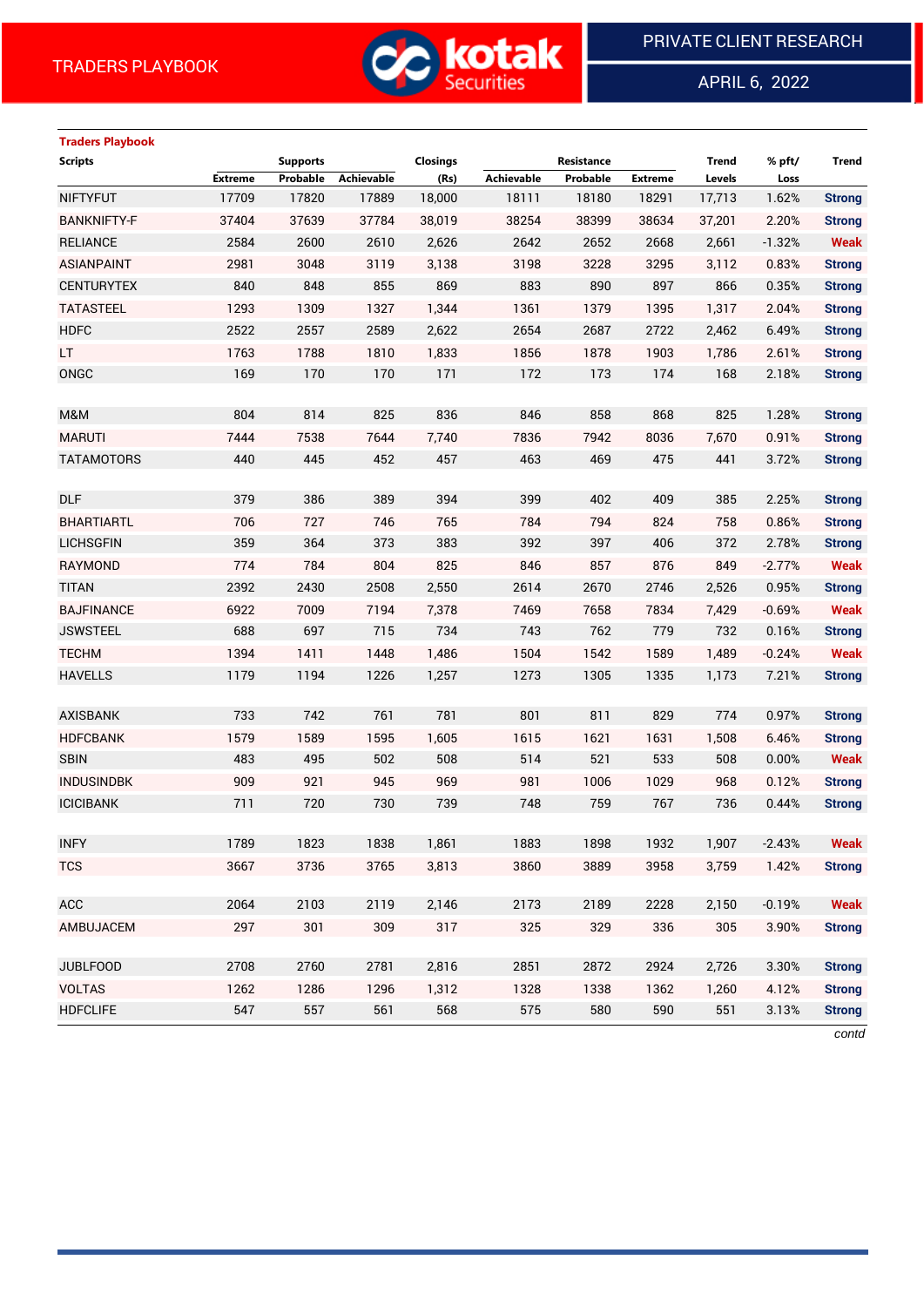

APRIL 6, 2022

 $\overline{a}$ 

# **Traders Playbook Scripts Supports Closings Resistance Trend % pft/ Trend Extreme Probable Achievable (Rs) Achievable Probable Extreme Levels Loss** NIFTYFUT 17709 17820 17889 18,000 18111 18180 18291 17,713 1.62% **Strong** BANKNIFTY-F 37404 37639 37784 38,019 38254 38399 38634 37,201 2.20% **Strong** RELIANCE 2584 2600 2610 2,626 2642 2652 2668 2,661 -1.32% **Weak** ASIANPAINT 2981 3048 3119 3,138 3198 3228 3295 3,112 0.83% **Strong** CENTURYTEX 840 848 855 869 883 890 897 866 0.35% **Strong** TATASTEEL 1293 1309 1327 1,344 1361 1379 1395 1,317 2.04% **Strong** HDFC 2522 2557 2589 2,622 2654 2687 2722 2,462 6.49% **Strong** LT 1763 1788 1810 1,833 1856 1878 1903 1,786 2.61% **Strong** ONGC 169 170 170 171 172 173 174 168 2.18% **Strong** M&M 804 814 825 836 846 858 868 825 1.28% **Strong** MARUTI 7444 7538 7644 7,740 7836 7942 8036 7,670 0.91% **Strong** TATAMOTORS 440 445 452 457 463 469 475 441 3.72% **Strong** DLF 379 386 389 394 399 402 409 385 2.25% **Strong** BHARTIARTL 706 727 746 765 784 794 824 758 0.86% **Strong** LICHSGFIN 359 364 373 383 392 397 406 372 2.78% **Strong** RAYMOND 774 784 804 825 846 857 876 849 -2.77% **Weak** TITAN 2392 2430 2508 2,550 2614 2670 2746 2,526 0.95% **Strong** BAJFINANCE 6922 7009 7194 7,378 7469 7658 7834 7,429 -0.69% **Weak** JSWSTEEL 688 697 715 734 743 762 779 732 0.16% **Strong** TECHM 1394 1411 1448 1,486 1504 1542 1589 1,489 -0.24% **Weak** HAVELLS 1179 1194 1226 1,257 1273 1305 1335 1,173 7.21% **Strong** AXISBANK 733 742 761 781 801 811 829 774 0.97% **Strong** HDFCBANK 1579 1589 1595 1,605 1615 1621 1631 1,508 6.46% **Strong** SBIN 483 495 502 508 514 521 533 508 0.00% **Weak** INDUSINDBK 909 921 945 969 981 1006 1029 968 0.12% **Strong** ICICIBANK 711 720 730 739 748 759 767 736 0.44% **Strong** INFY 1789 1823 1838 1,861 1883 1898 1932 1,907 -2.43% **Weak** TCS 3667 3736 3765 3,813 3860 3889 3958 3,759 1.42% **Strong** ACC 2064 2103 2119 2,146 2173 2189 2228 2,150 -0.19% **Weak** AMBUJACEM 297 301 309 317 325 329 336 305 3.90% **Strong** JUBLFOOD 2708 2760 2781 2,816 2851 2872 2924 2,726 3.30% **Strong** VOLTAS 1262 1286 1296 1,312 1328 1338 1362 1,260 4.12% **Strong** HDFCLIFE 547 557 561 568 575 580 590 551 3.13% **Strong** *contd*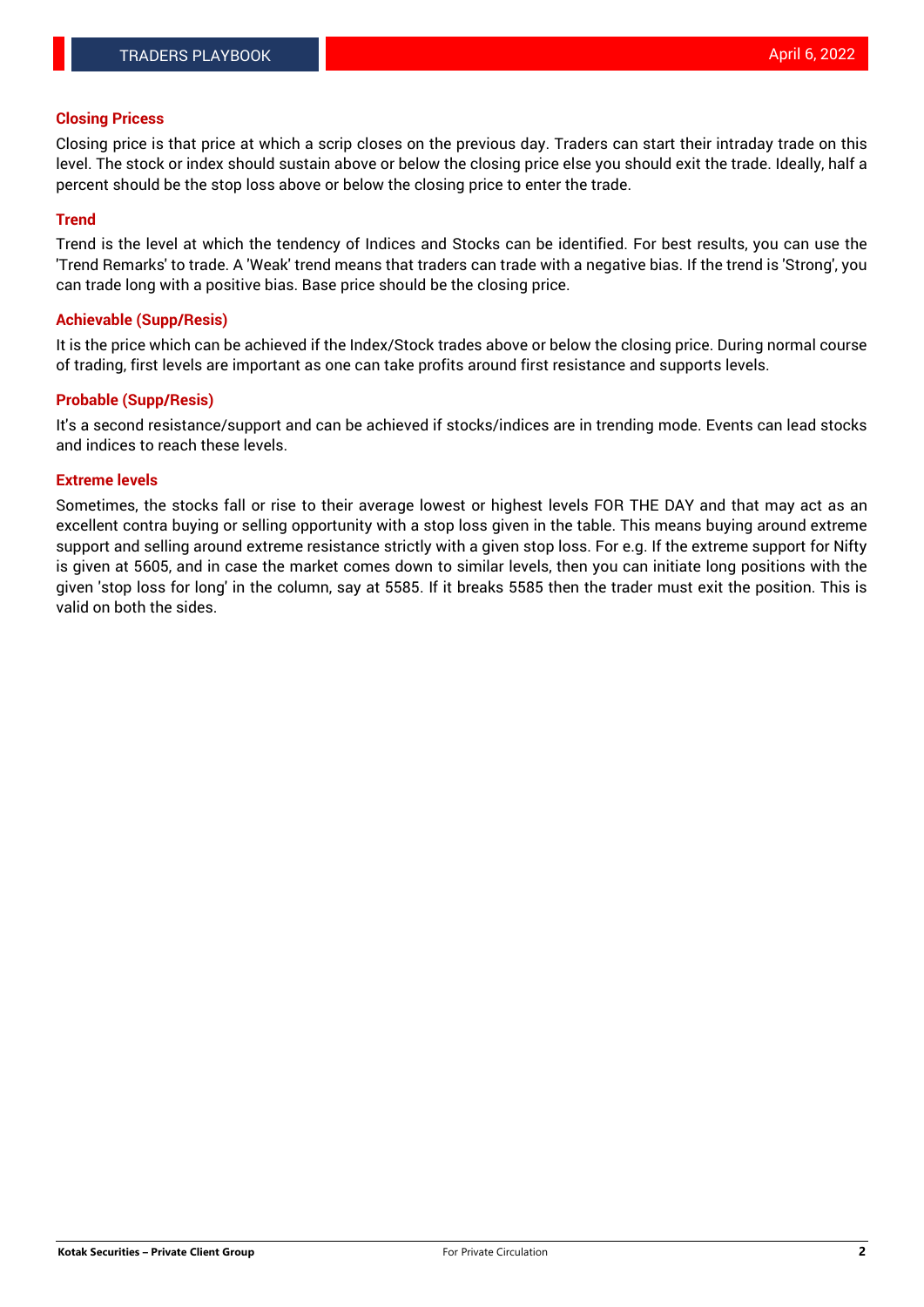#### **Closing Pricess**

Closing price is that price at which a scrip closes on the previous day. Traders can start their intraday trade on this level. The stock or index should sustain above or below the closing price else you should exit the trade. Ideally, half a percent should be the stop loss above or below the closing price to enter the trade.

#### **Trend**

Trend is the level at which the tendency of Indices and Stocks can be identified. For best results, you can use the 'Trend Remarks' to trade. A 'Weak' trend means that traders can trade with a negative bias. If the trend is 'Strong', you can trade long with a positive bias. Base price should be the closing price.

#### **Achievable (Supp/Resis)**

It is the price which can be achieved if the Index/Stock trades above or below the closing price. During normal course of trading, first levels are important as one can take profits around first resistance and supports levels.

### **Probable (Supp/Resis)**

It's a second resistance/support and can be achieved if stocks/indices are in trending mode. Events can lead stocks and indices to reach these levels.

#### **Extreme levels**

Sometimes, the stocks fall or rise to their average lowest or highest levels FOR THE DAY and that may act as an excellent contra buying or selling opportunity with a stop loss given in the table. This means buying around extreme support and selling around extreme resistance strictly with a given stop loss. For e.g. If the extreme support for Nifty is given at 5605, and in case the market comes down to similar levels, then you can initiate long positions with the given 'stop loss for long' in the column, say at 5585. If it breaks 5585 then the trader must exit the position. This is valid on both the sides.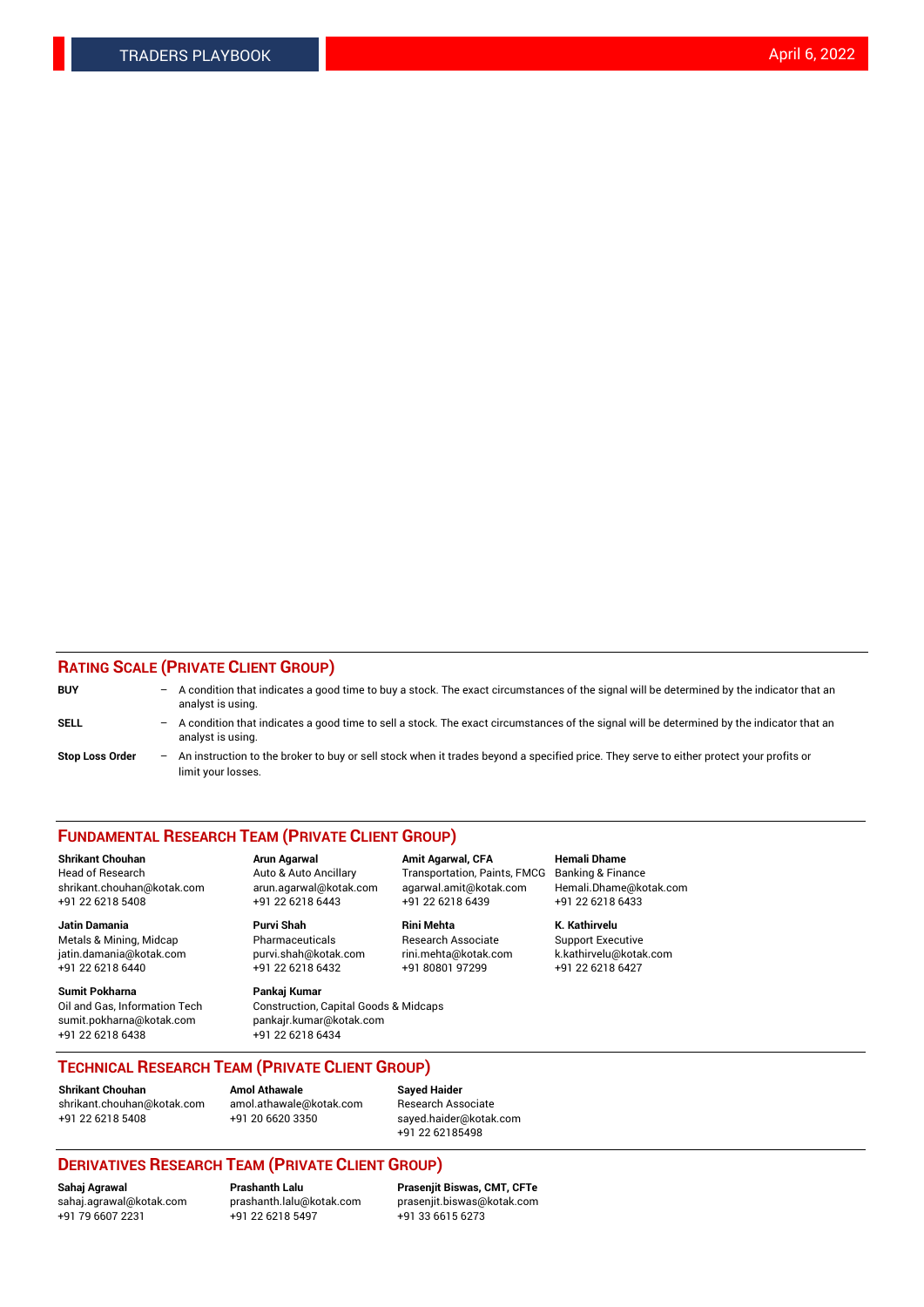### **RATING SCALE (PRIVATE CLIENT GROUP)**

| <b>BUY</b>             | -   | A condition that indicates a good time to buy a stock. The exact circumstances of the signal will be determined by the indicator that an<br>analyst is using.  |
|------------------------|-----|----------------------------------------------------------------------------------------------------------------------------------------------------------------|
| <b>SELL</b>            | -   | A condition that indicates a good time to sell a stock. The exact circumstances of the signal will be determined by the indicator that an<br>analyst is using. |
| <b>Stop Loss Order</b> | $-$ | An instruction to the broker to buy or sell stock when it trades beyond a specified price. They serve to either protect your profits or<br>limit your losses.  |

#### **FUNDAMENTAL RESEARCH TEAM (PRIVATE CLIENT GROUP)**

**Jatin Damania Purvi Shah Rini Mehta K. Kathirvelu** Metals & Mining, Midcap **Pharmaceuticals** Research Associate Support Executive jatin.damania@kotak.com [purvi.shah@kotak.com](mailto:purvi.shah@kotak.com) rini.mehta@kotak.com [k.kathirvelu@kotak.com](mailto:k.kathirvelu@kotak.com)  $+91$  22 6218 6440  $+91$  22 6218 6432

**Sumit Pokharna Pankaj Kumar** sumit.pokharna@kotak.com pankajr.kumar@kotak.com +91 22 6218 6438 +91 22 6218 6434

**Shrikant Chouhan Arun Agarwal Amit Agarwal, CFA Hemali Dhame**

Oil and Gas, Information Tech Construction, Capital Goods & Midcaps

Head of Research Auto & Auto Ancillary Transportation, Paints, FMCG Banking & Finance shrikant.chouhan@kotak.com arun.agarwal@kotak.com agarwal.amit@kotak.com Hemali.Dhame@kotak.com +91 22 6218 5408 +91 22 6218 6443 +91 22 6218 6439 +91 22 6218 6433

**TECHNICAL RESEARCH TEAM (PRIVATE CLIENT GROUP)**

[shrikant.chouhan@kotak.com](mailto:shrikant.chouhan@kotak.com) [amol.athawale@kotak.com](mailto:amol.athawale@kotak.com) Research Associate +91 22 6218 5408 +91 20 6620 3350 [sayed.haider@kotak.com](mailto:sayed.haider@kotak.com)

**Shrikant Chouhan Amol Athawale Sayed Haider**

+91 22 62185498

# **DERIVATIVES RESEARCH TEAM (PRIVATE CLIENT GROUP)**

 $+91$  22 6218 5497

**Sahaj Agrawal Prashanth Lalu Prasenjit Biswas, CMT, CFTe** [sahaj.agrawal@kotak.com](mailto:sahaj.agrawal@kotak.com) [prashanth.lalu@kotak.com](mailto:prashanth.lalu@kotak.com) [prasenjit.biswas@kotak.com](mailto:prasenjit.biswas@kotak.com)